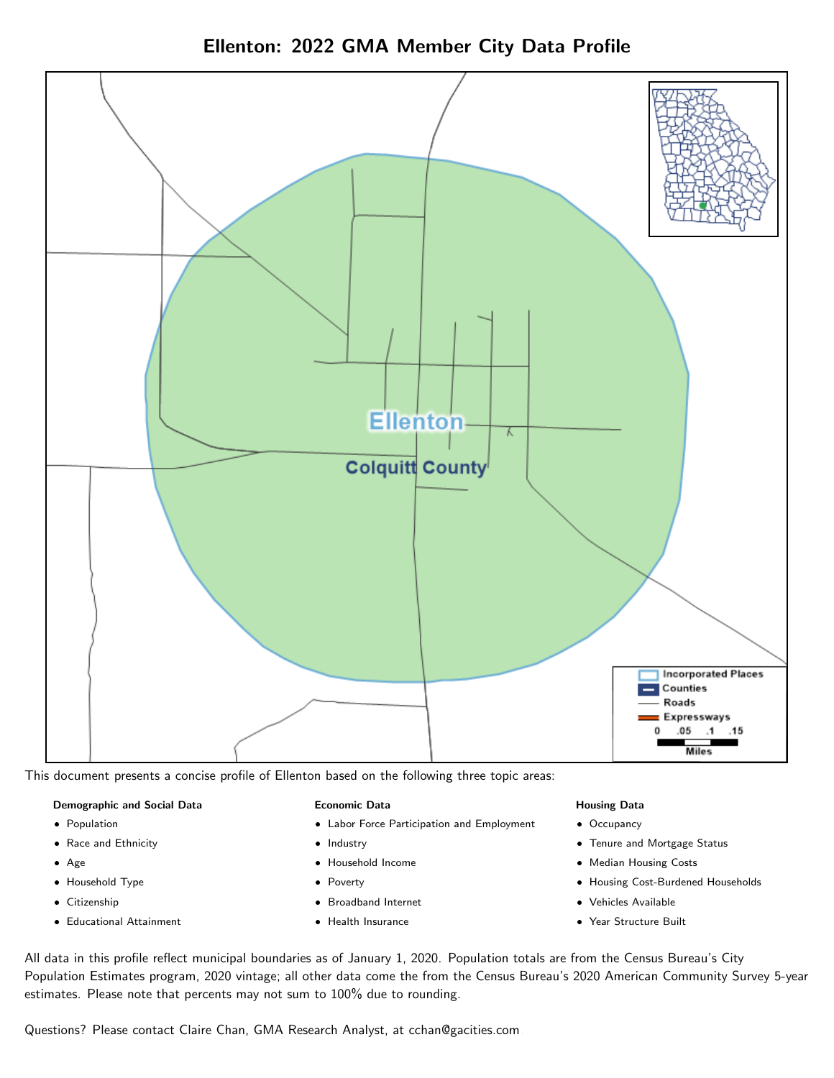



This document presents a concise profile of Ellenton based on the following three topic areas:

#### Demographic and Social Data

- **•** Population
- Race and Ethnicity
- Age
- Household Type
- **Citizenship**
- Educational Attainment

#### Economic Data

- Labor Force Participation and Employment
- Industry
- Household Income
- Poverty
- Broadband Internet
- Health Insurance

#### Housing Data

- Occupancy
- Tenure and Mortgage Status
- Median Housing Costs
- Housing Cost-Burdened Households
- Vehicles Available
- Year Structure Built

All data in this profile reflect municipal boundaries as of January 1, 2020. Population totals are from the Census Bureau's City Population Estimates program, 2020 vintage; all other data come the from the Census Bureau's 2020 American Community Survey 5-year estimates. Please note that percents may not sum to 100% due to rounding.

Questions? Please contact Claire Chan, GMA Research Analyst, at [cchan@gacities.com.](mailto:cchan@gacities.com)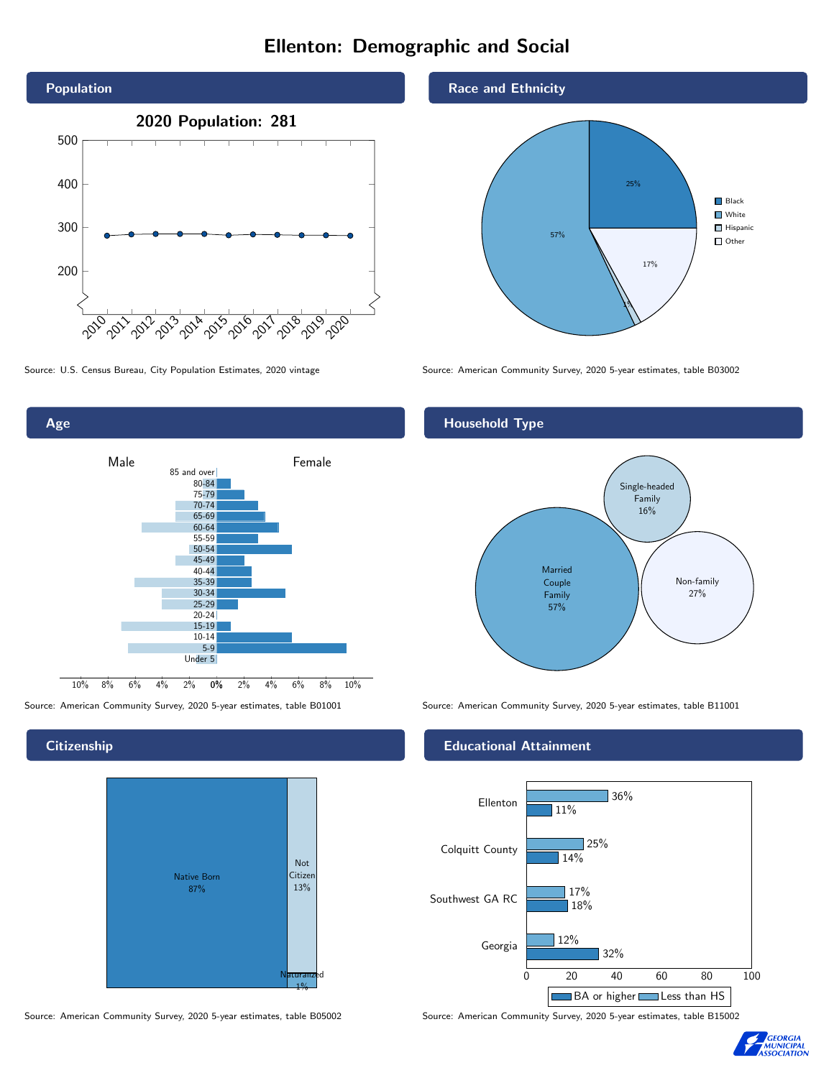# Ellenton: Demographic and Social





**Citizenship** 



Source: American Community Survey, 2020 5-year estimates, table B05002 Source: American Community Survey, 2020 5-year estimates, table B15002

Race and Ethnicity



Source: U.S. Census Bureau, City Population Estimates, 2020 vintage Source: American Community Survey, 2020 5-year estimates, table B03002

## Household Type



Source: American Community Survey, 2020 5-year estimates, table B01001 Source: American Community Survey, 2020 5-year estimates, table B11001

## Educational Attainment



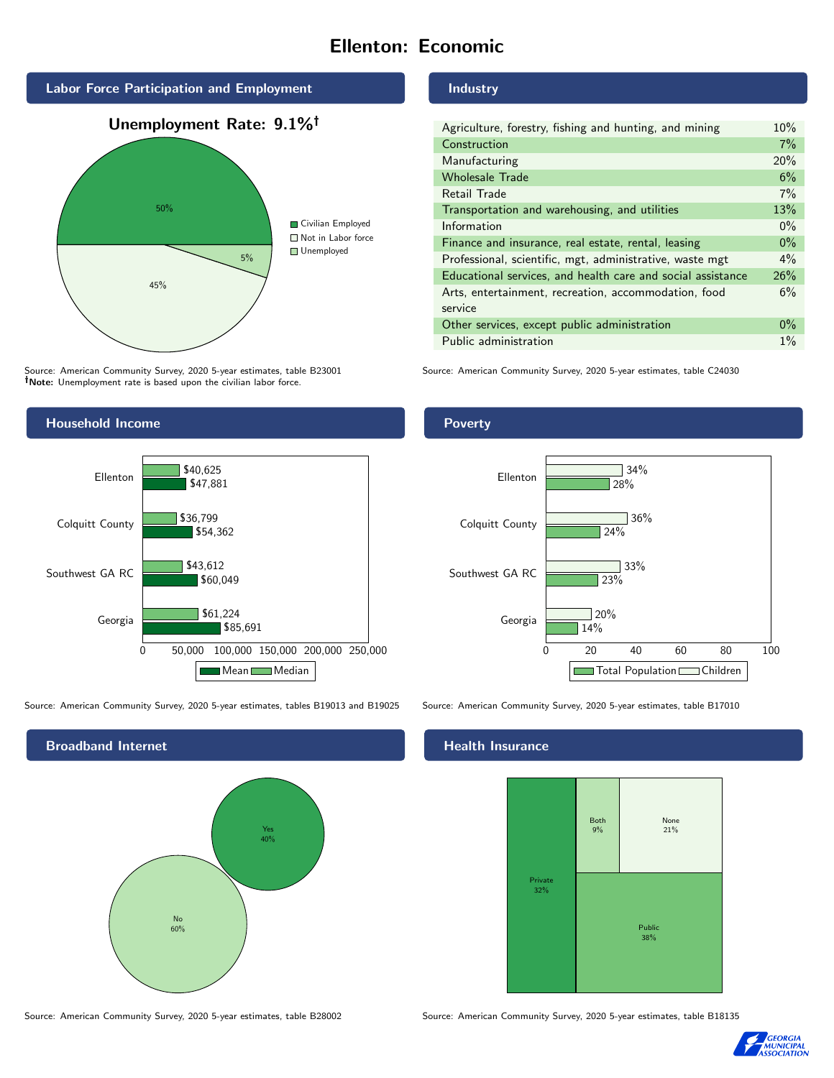# Ellenton: Economic



Source: American Community Survey, 2020 5-year estimates, table B23001 Note: Unemployment rate is based upon the civilian labor force.

### Industry

| Agriculture, forestry, fishing and hunting, and mining      | 10%   |
|-------------------------------------------------------------|-------|
| Construction                                                | 7%    |
| Manufacturing                                               | 20%   |
| <b>Wholesale Trade</b>                                      | 6%    |
| Retail Trade                                                | 7%    |
| Transportation and warehousing, and utilities               | 13%   |
| Information                                                 | $0\%$ |
| Finance and insurance, real estate, rental, leasing         | $0\%$ |
| Professional, scientific, mgt, administrative, waste mgt    | $4\%$ |
| Educational services, and health care and social assistance | 26%   |
| Arts, entertainment, recreation, accommodation, food        | 6%    |
| service                                                     |       |
| Other services, except public administration                | $0\%$ |
| Public administration                                       | $1\%$ |

Source: American Community Survey, 2020 5-year estimates, table C24030



Source: American Community Survey, 2020 5-year estimates, tables B19013 and B19025 Source: American Community Survey, 2020 5-year estimates, table B17010

Broadband Internet No 60% Yes 40%

Source: American Community Survey, 2020 5-year estimates, table B28002 Source: American Community Survey, 2020 5-year estimates, table B18135

Poverty



# **Health Insurance**